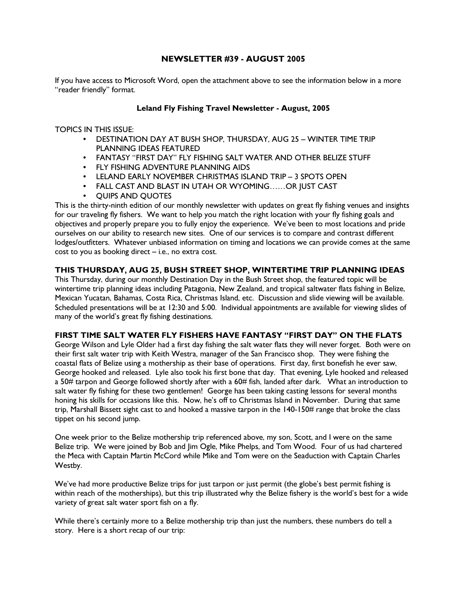# NEWSLETTER #39 - AUGUST 2005

If you have access to Microsoft Word, open the attachment above to see the information below in a more "reader friendly" format.

# Leland Fly Fishing Travel Newsletter - August, 2005

TOPICS IN THIS ISSUE:

- DESTINATION DAY AT BUSH SHOP, THURSDAY, AUG 25 WINTER TIME TRIP PLANNING IDEAS FEATURED
- FANTASY "FIRST DAY" FLY FISHING SALT WATER AND OTHER BELIZE STUFF
- FLY FISHING ADVENTURE PLANNING AIDS
- LELAND EARLY NOVEMBER CHRISTMAS ISLAND TRIP 3 SPOTS OPEN
- FALL CAST AND BLAST IN UTAH OR WYOMING……OR JUST CAST
- QUIPS AND QUOTES

This is the thirty-ninth edition of our monthly newsletter with updates on great fly fishing venues and insights for our traveling fly fishers. We want to help you match the right location with your fly fishing goals and objectives and properly prepare you to fully enjoy the experience. We've been to most locations and pride ourselves on our ability to research new sites. One of our services is to compare and contrast different lodges/outfitters. Whatever unbiased information on timing and locations we can provide comes at the same cost to you as booking direct – i.e., no extra cost.

# THIS THURSDAY, AUG 25, BUSH STREET SHOP, WINTERTIME TRIP PLANNING IDEAS

This Thursday, during our monthly Destination Day in the Bush Street shop, the featured topic will be wintertime trip planning ideas including Patagonia, New Zealand, and tropical saltwater flats fishing in Belize, Mexican Yucatan, Bahamas, Costa Rica, Christmas Island, etc. Discussion and slide viewing will be available. Scheduled presentations will be at 12:30 and 5:00. Individual appointments are available for viewing slides of many of the world's great fly fishing destinations.

# FIRST TIME SALT WATER FLY FISHERS HAVE FANTASY "FIRST DAY" ON THE FLATS

George Wilson and Lyle Older had a first day fishing the salt water flats they will never forget. Both were on their first salt water trip with Keith Westra, manager of the San Francisco shop. They were fishing the coastal flats of Belize using a mothership as their base of operations. First day, first bonefish he ever saw, George hooked and released. Lyle also took his first bone that day. That evening, Lyle hooked and released a 50# tarpon and George followed shortly after with a 60# fish, landed after dark. What an introduction to salt water fly fishing for these two gentlemen! George has been taking casting lessons for several months honing his skills for occasions like this. Now, he's off to Christmas Island in November. During that same trip, Marshall Bissett sight cast to and hooked a massive tarpon in the 140-150# range that broke the class tippet on his second jump.

One week prior to the Belize mothership trip referenced above, my son, Scott, and I were on the same Belize trip. We were joined by Bob and Jim Ogle, Mike Phelps, and Tom Wood. Four of us had chartered the Meca with Captain Martin McCord while Mike and Tom were on the Seaduction with Captain Charles Westby.

We've had more productive Belize trips for just tarpon or just permit (the globe's best permit fishing is within reach of the motherships), but this trip illustrated why the Belize fishery is the world's best for a wide variety of great salt water sport fish on a fly.

While there's certainly more to a Belize mothership trip than just the numbers, these numbers do tell a story. Here is a short recap of our trip: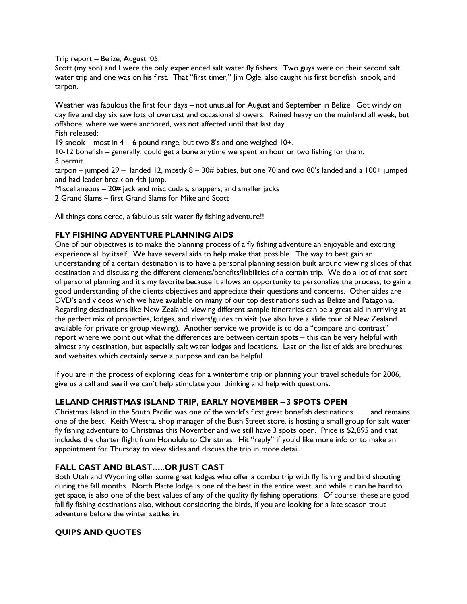Trip report – Belize, August '05:

Scott (my son) and I were the only experienced salt water fly fishers. Two guys were on their second salt water trip and one was on his first. That "first timer," Jim Ogle, also caught his first bonefish, snook, and tarpon.

Weather was fabulous the first four days – not unusual for August and September in Belize. Got windy on day five and day six saw lots of overcast and occasional showers. Rained heavy on the mainland all week, but offshore, where we were anchored, was not affected until that last day. Fish released:

19 snook – most in 4 – 6 pound range, but two 8's and one weighed 10+.

10-12 bonefish – generally, could get a bone anytime we spent an hour or two fishing for them. 3 permit

tarpon – jumped 29 – landed 12, mostly  $8 - 30$ # babies, but one 70 and two 80's landed and a 100+ jumped and had leader break on 4th jump.

Miscellaneous – 20# jack and misc cuda's, snappers, and smaller jacks

2 Grand Slams – first Grand Slams for Mike and Scott

All things considered, a fabulous salt water fly fishing adventure!!

# FLY FISHING ADVENTURE PLANNING AIDS

One of our objectives is to make the planning process of a fly fishing adventure an enjoyable and exciting experience all by itself. We have several aids to help make that possible. The way to best gain an understanding of a certain destination is to have a personal planning session built around viewing slides of that destination and discussing the different elements/benefits/liabilities of a certain trip. We do a lot of that sort of personal planning and it's my favorite because it allows an opportunity to personalize the process; to gain a good understanding of the clients objectives and appreciate their questions and concerns. Other aides are DVD's and videos which we have available on many of our top destinations such as Belize and Patagonia. Regarding destinations like New Zealand, viewing different sample itineraries can be a great aid in arriving at the perfect mix of properties, lodges, and rivers/guides to visit (we also have a slide tour of New Zealand available for private or group viewing). Another service we provide is to do a "compare and contrast" report where we point out what the differences are between certain spots – this can be very helpful with almost any destination, but especially salt water lodges and locations. Last on the list of aids are brochures and websites which certainly serve a purpose and can be helpful.

If you are in the process of exploring ideas for a wintertime trip or planning your travel schedule for 2006, give us a call and see if we can't help stimulate your thinking and help with questions.

# LELAND CHRISTMAS ISLAND TRIP, EARLY NOVEMBER – 3 SPOTS OPEN

Christmas Island in the South Pacific was one of the world's first great bonefish destinations…….and remains one of the best. Keith Westra, shop manager of the Bush Street store, is hosting a small group for salt water fly fishing adventure to Christmas this November and we still have 3 spots open. Price is \$2,895 and that includes the charter flight from Honolulu to Christmas. Hit "reply" if you'd like more info or to make an appointment for Thursday to view slides and discuss the trip in more detail.

# FALL CAST AND BLAST…..OR JUST CAST

Both Utah and Wyoming offer some great lodges who offer a combo trip with fly fishing and bird shooting during the fall months. North Platte lodge is one of the best in the entire west, and while it can be hard to get space, is also one of the best values of any of the quality fly fishing operations. Of course, these are good fall fly fishing destinations also, without considering the birds, if you are looking for a late season trout adventure before the winter settles in.

# QUIPS AND QUOTES